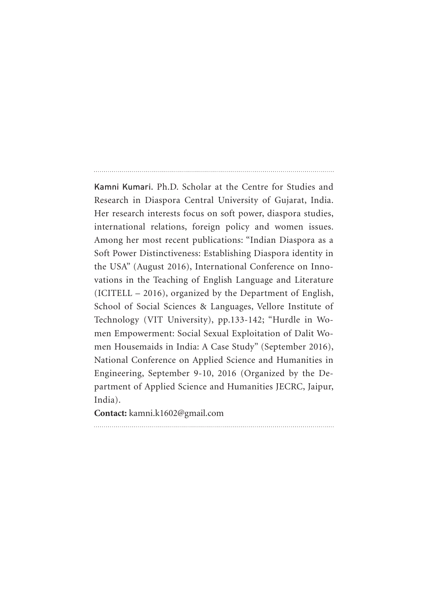Kamni Kumari. Ph.D. Scholar at the Centre for Studies and Research in Diaspora Central University of Gujarat, India. Her research interests focus on soft power, diaspora studies, international relations, foreign policy and women issues. Among her most recent publications: "Indian Diaspora as a Soft Power Distinctiveness: Establishing Diaspora identity in the USA" (August 2016), International Conference on Innovations in the Teaching of English Language and Literature (ICITELL – 2016), organized by the Department of English, School of Social Sciences & Languages, Vellore Institute of Technology (VIT University), pp.133-142; "Hurdle in Women Empowerment: Social Sexual Exploitation of Dalit Women Housemaids in India: A Case Study" (September 2016), National Conference on Applied Science and Humanities in Engineering, September 9-10, 2016 (Organized by the Department of Applied Science and Humanities JECRC, Jaipur, India).

**Contact:** kamni.k1602@gmail.com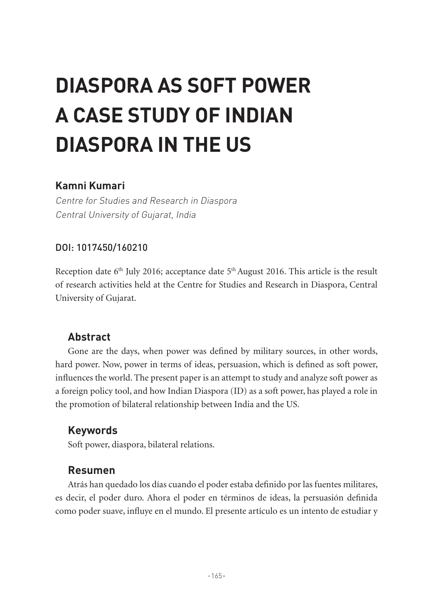# **DIASPORA AS SOFT POWER A CASE STUDY OF INDIAN DIASPORA IN THE US**

## **Kamni Kumari**

Centre for Studies and Research in Diaspora Central University of Gujarat, India

#### DOI: 1017450/160210

Reception date  $6<sup>th</sup>$  July 2016; acceptance date  $5<sup>th</sup>$  August 2016. This article is the result of research activities held at the Centre for Studies and Research in Diaspora, Central University of Gujarat.

## **Abstract**

Gone are the days, when power was defined by military sources, in other words, hard power. Now, power in terms of ideas, persuasion, which is defined as soft power, influences the world. The present paper is an attempt to study and analyze soft power as a foreign policy tool, and how Indian Diaspora (ID) as a soft power, has played a role in the promotion of bilateral relationship between India and the US.

## **Keywords**

Soft power, diaspora, bilateral relations.

#### **Resumen**

Atrás han quedado los días cuando el poder estaba definido por las fuentes militares, es decir, el poder duro. Ahora el poder en términos de ideas, la persuasión definida como poder suave, influye en el mundo. El presente artículo es un intento de estudiar y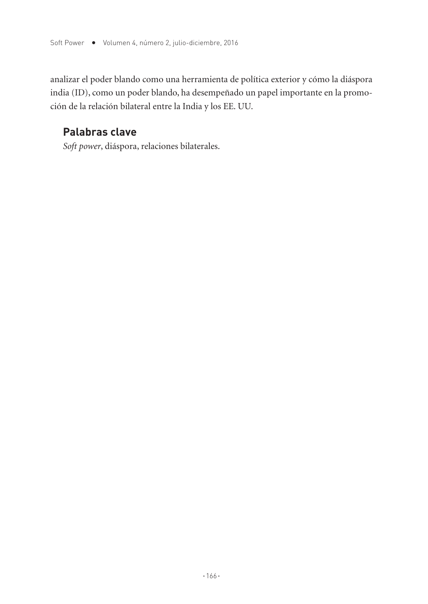analizar el poder blando como una herramienta de política exterior y cómo la diáspora india (ID), como un poder blando, ha desempeñado un papel importante en la promoción de la relación bilateral entre la India y los EE. UU.

# **Palabras clave**

*Soft power*, diáspora, relaciones bilaterales.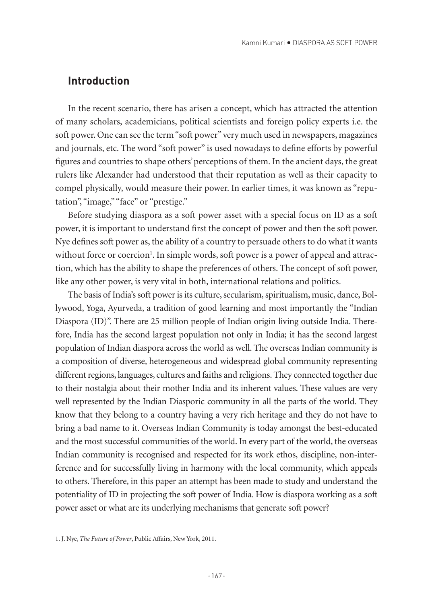#### **Introduction**

In the recent scenario, there has arisen a concept, which has attracted the attention of many scholars, academicians, political scientists and foreign policy experts i.e. the soft power. One can see the term "soft power" very much used in newspapers, magazines and journals, etc. The word "soft power" is used nowadays to define efforts by powerful figures and countries to shape others' perceptions of them. In the ancient days, the great rulers like Alexander had understood that their reputation as well as their capacity to compel physically, would measure their power. In earlier times, it was known as "reputation", "image," "face" or "prestige."

Before studying diaspora as a soft power asset with a special focus on ID as a soft power, it is important to understand first the concept of power and then the soft power. Nye defines soft power as, the ability of a country to persuade others to do what it wants without force or coercion<sup>1</sup>. In simple words, soft power is a power of appeal and attraction, which has the ability to shape the preferences of others. The concept of soft power, like any other power, is very vital in both, international relations and politics.

The basis of India's soft power is its culture, secularism, spiritualism, music, dance, Bollywood, Yoga, Ayurveda, a tradition of good learning and most importantly the "Indian Diaspora (ID)". There are 25 million people of Indian origin living outside India. Therefore, India has the second largest population not only in India; it has the second largest population of Indian diaspora across the world as well. The overseas Indian community is a composition of diverse, heterogeneous and widespread global community representing different regions, languages, cultures and faiths and religions. They connected together due to their nostalgia about their mother India and its inherent values. These values are very well represented by the Indian Diasporic community in all the parts of the world. They know that they belong to a country having a very rich heritage and they do not have to bring a bad name to it. Overseas Indian Community is today amongst the best-educated and the most successful communities of the world. In every part of the world, the overseas Indian community is recognised and respected for its work ethos, discipline, non-interference and for successfully living in harmony with the local community, which appeals to others. Therefore, in this paper an attempt has been made to study and understand the potentiality of ID in projecting the soft power of India. How is diaspora working as a soft power asset or what are its underlying mechanisms that generate soft power?

<sup>1.</sup> J. Nye, *The Future of Power*, Public Affairs, New York, 2011.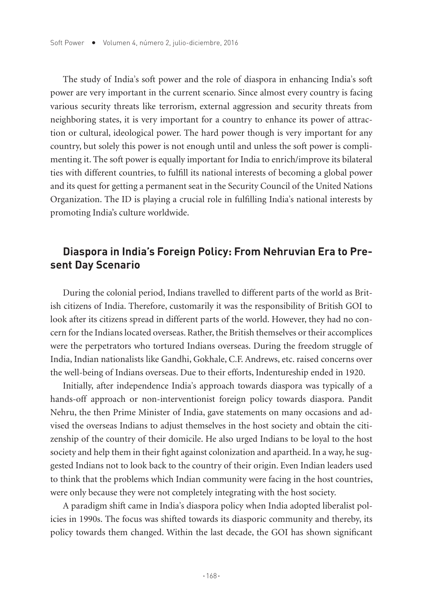The study of India's soft power and the role of diaspora in enhancing India's soft power are very important in the current scenario. Since almost every country is facing various security threats like terrorism, external aggression and security threats from neighboring states, it is very important for a country to enhance its power of attraction or cultural, ideological power. The hard power though is very important for any country, but solely this power is not enough until and unless the soft power is complimenting it. The soft power is equally important for India to enrich/improve its bilateral ties with different countries, to fulfill its national interests of becoming a global power and its quest for getting a permanent seat in the Security Council of the United Nations Organization. The ID is playing a crucial role in fulfilling India's national interests by promoting India's culture worldwide.

## **Diaspora in India's Foreign Policy: From Nehruvian Era to Present Day Scenario**

During the colonial period, Indians travelled to different parts of the world as British citizens of India. Therefore, customarily it was the responsibility of British GOI to look after its citizens spread in different parts of the world. However, they had no concern for the Indians located overseas. Rather, the British themselves or their accomplices were the perpetrators who tortured Indians overseas. During the freedom struggle of India, Indian nationalists like Gandhi, Gokhale, C.F. Andrews, etc. raised concerns over the well-being of Indians overseas. Due to their efforts, Indentureship ended in 1920.

Initially, after independence India's approach towards diaspora was typically of a hands-off approach or non-interventionist foreign policy towards diaspora. Pandit Nehru, the then Prime Minister of India, gave statements on many occasions and advised the overseas Indians to adjust themselves in the host society and obtain the citizenship of the country of their domicile. He also urged Indians to be loyal to the host society and help them in their fight against colonization and apartheid. In a way, he suggested Indians not to look back to the country of their origin. Even Indian leaders used to think that the problems which Indian community were facing in the host countries, were only because they were not completely integrating with the host society.

A paradigm shift came in India's diaspora policy when India adopted liberalist policies in 1990s. The focus was shifted towards its diasporic community and thereby, its policy towards them changed. Within the last decade, the GOI has shown significant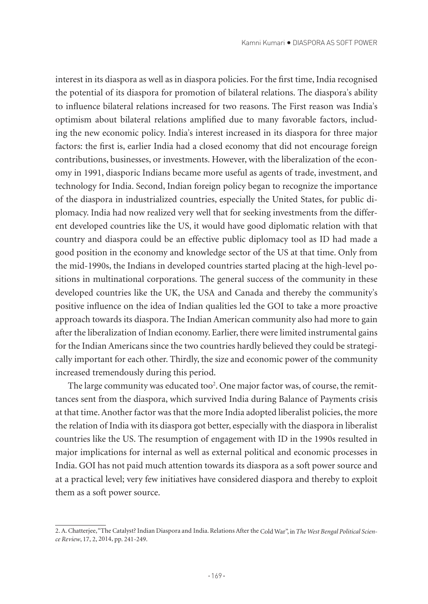interest in its diaspora as well as in diaspora policies. For the first time, India recognised the potential of its diaspora for promotion of bilateral relations. The diaspora's ability to influence bilateral relations increased for two reasons. The First reason was India's optimism about bilateral relations amplified due to many favorable factors, including the new economic policy. India's interest increased in its diaspora for three major factors: the first is, earlier India had a closed economy that did not encourage foreign contributions, businesses, or investments. However, with the liberalization of the economy in 1991, diasporic Indians became more useful as agents of trade, investment, and technology for India. Second, Indian foreign policy began to recognize the importance of the diaspora in industrialized countries, especially the United States, for public diplomacy. India had now realized very well that for seeking investments from the different developed countries like the US, it would have good diplomatic relation with that country and diaspora could be an effective public diplomacy tool as ID had made a good position in the economy and knowledge sector of the US at that time. Only from the mid-1990s, the Indians in developed countries started placing at the high-level positions in multinational corporations. The general success of the community in these developed countries like the UK, the USA and Canada and thereby the community's positive influence on the idea of Indian qualities led the GOI to take a more proactive approach towards its diaspora. The Indian American community also had more to gain after the liberalization of Indian economy. Earlier, there were limited instrumental gains for the Indian Americans since the two countries hardly believed they could be strategically important for each other. Thirdly, the size and economic power of the community increased tremendously during this period.

The large community was educated too<sup>2</sup>. One major factor was, of course, the remittances sent from the diaspora, which survived India during Balance of Payments crisis at that time. Another factor was that the more India adopted liberalist policies, the more the relation of India with its diaspora got better, especially with the diaspora in liberalist countries like the US. The resumption of engagement with ID in the 1990s resulted in major implications for internal as well as external political and economic processes in India. GOI has not paid much attention towards its diaspora as a soft power source and at a practical level; very few initiatives have considered diaspora and thereby to exploit them as a soft power source.

<sup>2.</sup> A. Chatterjee, "The Catalyst? Indian Diaspora and India. Relations After the Cold War", in *The West Bengal Political Science Review*, 17, 2, 2014, pp. 241-249.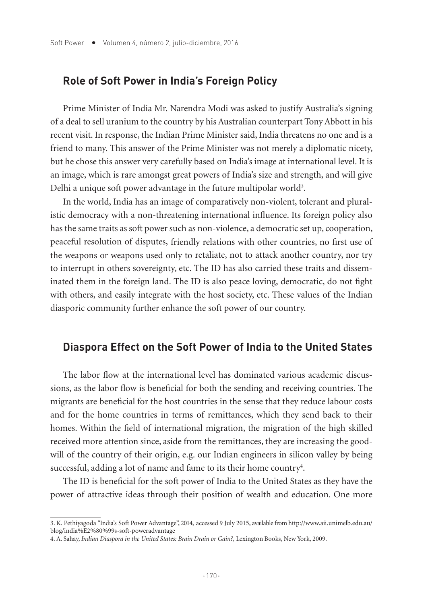#### **Role of Soft Power in India's Foreign Policy**

Prime Minister of India Mr. Narendra Modi was asked to justify Australia's signing of a deal to sell uranium to the country by his Australian counterpart Tony Abbott in his recent visit. In response, the Indian Prime Minister said, India threatens no one and is a friend to many. This answer of the Prime Minister was not merely a diplomatic nicety, but he chose this answer very carefully based on India's image at international level. It is an image, which is rare amongst great powers of India's size and strength, and will give Delhi a unique soft power advantage in the future multipolar world $^3.$ 

In the world, India has an image of comparatively non-violent, tolerant and pluralistic democracy with a non-threatening international influence. Its foreign policy also has the same traits as soft power such as non-violence, a democratic set up, cooperation, peaceful resolution of disputes, friendly relations with other countries, no first use of the weapons or weapons used only to retaliate, not to attack another country, nor try to interrupt in others sovereignty, etc. The ID has also carried these traits and disseminated them in the foreign land. The ID is also peace loving, democratic, do not fight with others, and easily integrate with the host society, etc. These values of the Indian diasporic community further enhance the soft power of our country.

#### **Diaspora Effect on the Soft Power of India to the United States**

The labor flow at the international level has dominated various academic discussions, as the labor flow is beneficial for both the sending and receiving countries. The migrants are beneficial for the host countries in the sense that they reduce labour costs and for the home countries in terms of remittances, which they send back to their homes. Within the field of international migration, the migration of the high skilled received more attention since, aside from the remittances, they are increasing the goodwill of the country of their origin, e.g. our Indian engineers in silicon valley by being successful, adding a lot of name and fame to its their home country<sup>4</sup>.

The ID is beneficial for the soft power of India to the United States as they have the power of attractive ideas through their position of wealth and education. One more

<sup>3.</sup> K. Pethiyagoda "India's Soft Power Advantage", 2014, accessed 9 July 2015, available from http://www.aii.unimelb.edu.au/ blog/india%E2%80%99s-soft-poweradvantage

<sup>4.</sup> A. Sahay, *Indian Diaspora in the United States: Brain Drain or Gain?,* Lexington Books, New York, 2009.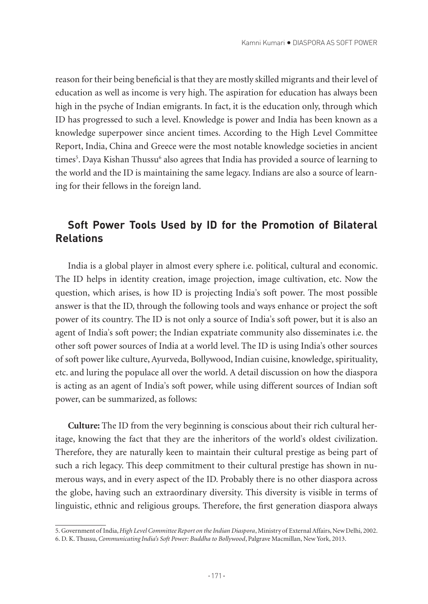reason for their being beneficial is that they are mostly skilled migrants and their level of education as well as income is very high. The aspiration for education has always been high in the psyche of Indian emigrants. In fact, it is the education only, through which ID has progressed to such a level. Knowledge is power and India has been known as a knowledge superpower since ancient times. According to the High Level Committee Report, India, China and Greece were the most notable knowledge societies in ancient times<sup>5</sup>. Daya Kishan Thussu<sup>6</sup> also agrees that India has provided a source of learning to the world and the ID is maintaining the same legacy. Indians are also a source of learning for their fellows in the foreign land.

## **Soft Power Tools Used by ID for the Promotion of Bilateral Relations**

India is a global player in almost every sphere i.e. political, cultural and economic. The ID helps in identity creation, image projection, image cultivation, etc. Now the question, which arises, is how ID is projecting India's soft power. The most possible answer is that the ID, through the following tools and ways enhance or project the soft power of its country. The ID is not only a source of India's soft power, but it is also an agent of India's soft power; the Indian expatriate community also disseminates i.e. the other soft power sources of India at a world level. The ID is using India's other sources of soft power like culture, Ayurveda, Bollywood, Indian cuisine, knowledge, spirituality, etc. and luring the populace all over the world. A detail discussion on how the diaspora is acting as an agent of India's soft power, while using different sources of Indian soft power, can be summarized, as follows:

**Culture:** The ID from the very beginning is conscious about their rich cultural heritage, knowing the fact that they are the inheritors of the world's oldest civilization. Therefore, they are naturally keen to maintain their cultural prestige as being part of such a rich legacy. This deep commitment to their cultural prestige has shown in numerous ways, and in every aspect of the ID. Probably there is no other diaspora across the globe, having such an extraordinary diversity. This diversity is visible in terms of linguistic, ethnic and religious groups. Therefore, the first generation diaspora always

<sup>5.</sup> Government of India, *High Level Committee Report on the Indian Diaspora*, Ministry of External Affairs, New Delhi, 2002. 6. D. K. Thussu, *Communicating India's Soft Power: Buddha to Bollywood*, Palgrave Macmillan, New York, 2013.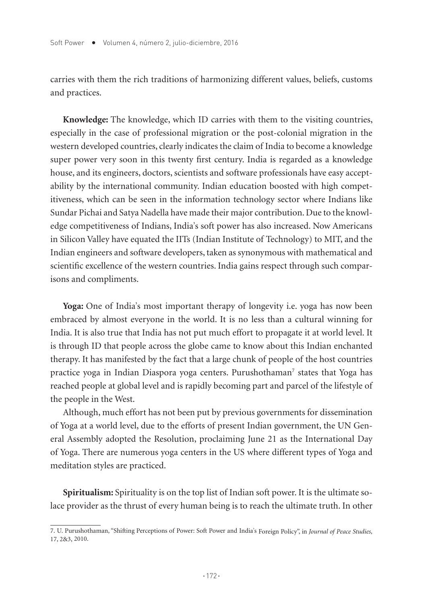carries with them the rich traditions of harmonizing different values, beliefs, customs and practices.

**Knowledge:** The knowledge, which ID carries with them to the visiting countries, especially in the case of professional migration or the post-colonial migration in the western developed countries, clearly indicates the claim of India to become a knowledge super power very soon in this twenty first century. India is regarded as a knowledge house, and its engineers, doctors, scientists and software professionals have easy acceptability by the international community. Indian education boosted with high competitiveness, which can be seen in the information technology sector where Indians like Sundar Pichai and Satya Nadella have made their major contribution. Due to the knowledge competitiveness of Indians, India's soft power has also increased. Now Americans in Silicon Valley have equated the IITs (Indian Institute of Technology) to MIT, and the Indian engineers and software developers, taken as synonymous with mathematical and scientific excellence of the western countries. India gains respect through such comparisons and compliments.

**Yoga:** One of India's most important therapy of longevity i.e. yoga has now been embraced by almost everyone in the world. It is no less than a cultural winning for India. It is also true that India has not put much effort to propagate it at world level. It is through ID that people across the globe came to know about this Indian enchanted therapy. It has manifested by the fact that a large chunk of people of the host countries practice yoga in Indian Diaspora yoga centers. Purushothaman7 states that Yoga has reached people at global level and is rapidly becoming part and parcel of the lifestyle of the people in the West.

Although, much effort has not been put by previous governments for dissemination of Yoga at a world level, due to the efforts of present Indian government, the UN General Assembly adopted the Resolution, proclaiming June 21 as the International Day of Yoga. There are numerous yoga centers in the US where different types of Yoga and meditation styles are practiced.

**Spiritualism:** Spirituality is on the top list of Indian soft power. It is the ultimate solace provider as the thrust of every human being is to reach the ultimate truth. In other

<sup>7.</sup> U. Purushothaman, "Shifting Perceptions of Power: Soft Power and India's Foreign Policy", in *Journal of Peace Studies,*  17, 2&3, 2010.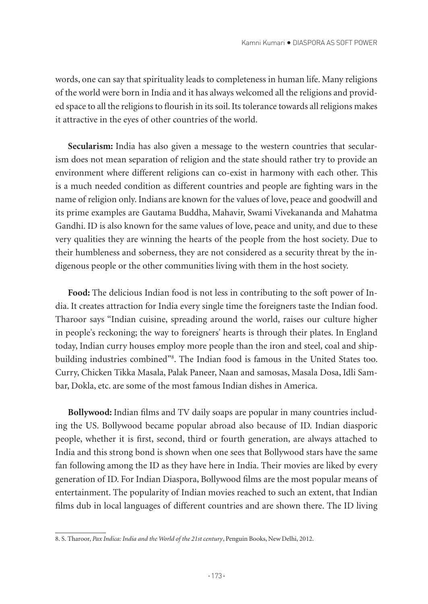words, one can say that spirituality leads to completeness in human life. Many religions of the world were born in India and it has always welcomed all the religions and provided space to all the religions to flourish in its soil. Its tolerance towards all religions makes it attractive in the eyes of other countries of the world.

**Secularism:** India has also given a message to the western countries that secularism does not mean separation of religion and the state should rather try to provide an environment where different religions can co-exist in harmony with each other. This is a much needed condition as different countries and people are fighting wars in the name of religion only. Indians are known for the values of love, peace and goodwill and its prime examples are Gautama Buddha, Mahavir, Swami Vivekananda and Mahatma Gandhi. ID is also known for the same values of love, peace and unity, and due to these very qualities they are winning the hearts of the people from the host society. Due to their humbleness and soberness, they are not considered as a security threat by the indigenous people or the other communities living with them in the host society.

**Food:** The delicious Indian food is not less in contributing to the soft power of India. It creates attraction for India every single time the foreigners taste the Indian food. Tharoor says "Indian cuisine, spreading around the world, raises our culture higher in people's reckoning; the way to foreigners' hearts is through their plates. In England today, Indian curry houses employ more people than the iron and steel, coal and shipbuilding industries combined"8 . The Indian food is famous in the United States too. Curry, Chicken Tikka Masala, Palak Paneer, Naan and samosas, Masala Dosa, Idli Sambar, Dokla, etc. are some of the most famous Indian dishes in America.

**Bollywood:** Indian films and TV daily soaps are popular in many countries including the US. Bollywood became popular abroad also because of ID. Indian diasporic people, whether it is first, second, third or fourth generation, are always attached to India and this strong bond is shown when one sees that Bollywood stars have the same fan following among the ID as they have here in India. Their movies are liked by every generation of ID. For Indian Diaspora, Bollywood films are the most popular means of entertainment. The popularity of Indian movies reached to such an extent, that Indian films dub in local languages of different countries and are shown there. The ID living

<sup>8.</sup> S. Tharoor, *Pax Indica: India and the World of the 21st century*, Penguin Books, New Delhi, 2012.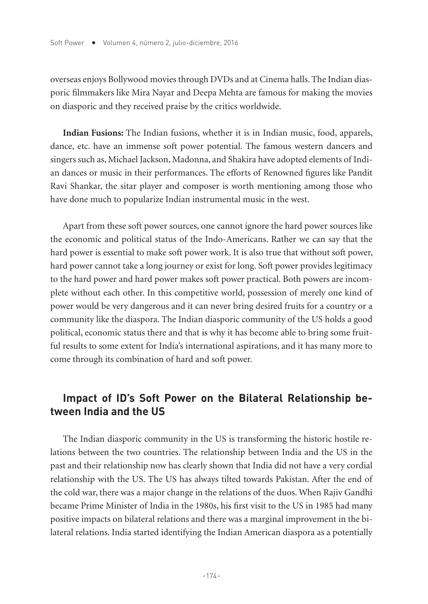overseas enjoys Bollywood movies through DVDs and at Cinema halls. The Indian diasporic filmmakers like Mira Nayar and Deepa Mehta are famous for making the movies on diasporic and they received praise by the critics worldwide.

**Indian Fusions:** The Indian fusions, whether it is in Indian music, food, apparels, dance, etc. have an immense soft power potential. The famous western dancers and singers such as, Michael Jackson, Madonna, and Shakira have adopted elements of Indian dances or music in their performances. The efforts of Renowned figures like Pandit Ravi Shankar, the sitar player and composer is worth mentioning among those who have done much to popularize Indian instrumental music in the west.

Apart from these soft power sources, one cannot ignore the hard power sources like the economic and political status of the Indo-Americans. Rather we can say that the hard power is essential to make soft power work. It is also true that without soft power, hard power cannot take a long journey or exist for long. Soft power provides legitimacy to the hard power and hard power makes soft power practical. Both powers are incomplete without each other. In this competitive world, possession of merely one kind of power would be very dangerous and it can never bring desired fruits for a country or a community like the diaspora. The Indian diasporic community of the US holds a good political, economic status there and that is why it has become able to bring some fruitful results to some extent for India's international aspirations, and it has many more to come through its combination of hard and soft power.

## **Impact of ID's Soft Power on the Bilateral Relationship between India and the US**

The Indian diasporic community in the US is transforming the historic hostile relations between the two countries. The relationship between India and the US in the past and their relationship now has clearly shown that India did not have a very cordial relationship with the US. The US has always tilted towards Pakistan. After the end of the cold war, there was a major change in the relations of the duos. When Rajiv Gandhi became Prime Minister of India in the 1980s, his first visit to the US in 1985 had many positive impacts on bilateral relations and there was a marginal improvement in the bilateral relations. India started identifying the Indian American diaspora as a potentially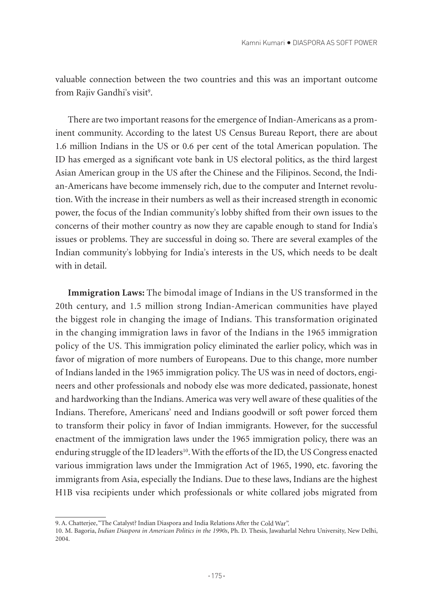valuable connection between the two countries and this was an important outcome from Rajiv Gandhi's visit<sup>9</sup>.

There are two important reasons for the emergence of Indian-Americans as a prominent community. According to the latest US Census Bureau Report, there are about 1.6 million Indians in the US or 0.6 per cent of the total American population. The ID has emerged as a significant vote bank in US electoral politics, as the third largest Asian American group in the US after the Chinese and the Filipinos. Second, the Indian-Americans have become immensely rich, due to the computer and Internet revolution. With the increase in their numbers as well as their increased strength in economic power, the focus of the Indian community's lobby shifted from their own issues to the concerns of their mother country as now they are capable enough to stand for India's issues or problems. They are successful in doing so. There are several examples of the Indian community's lobbying for India's interests in the US, which needs to be dealt with in detail.

**Immigration Laws:** The bimodal image of Indians in the US transformed in the 20th century, and 1.5 million strong Indian-American communities have played the biggest role in changing the image of Indians. This transformation originated in the changing immigration laws in favor of the Indians in the 1965 immigration policy of the US. This immigration policy eliminated the earlier policy, which was in favor of migration of more numbers of Europeans. Due to this change, more number of Indians landed in the 1965 immigration policy. The US was in need of doctors, engineers and other professionals and nobody else was more dedicated, passionate, honest and hardworking than the Indians. America was very well aware of these qualities of the Indians. Therefore, Americans' need and Indians goodwill or soft power forced them to transform their policy in favor of Indian immigrants. However, for the successful enactment of the immigration laws under the 1965 immigration policy, there was an enduring struggle of the ID leaders<sup>10</sup>. With the efforts of the ID, the US Congress enacted various immigration laws under the Immigration Act of 1965, 1990, etc. favoring the immigrants from Asia, especially the Indians. Due to these laws, Indians are the highest H1B visa recipients under which professionals or white collared jobs migrated from

<sup>9.</sup> A. Chatterjee, "The Catalyst? Indian Diaspora and India Relations After the Cold War".

<sup>10.</sup> M. Bagoria, *Indian Diaspora in American Politics in the 1990s*, Ph. D. Thesis, Jawaharlal Nehru University, New Delhi, 2004.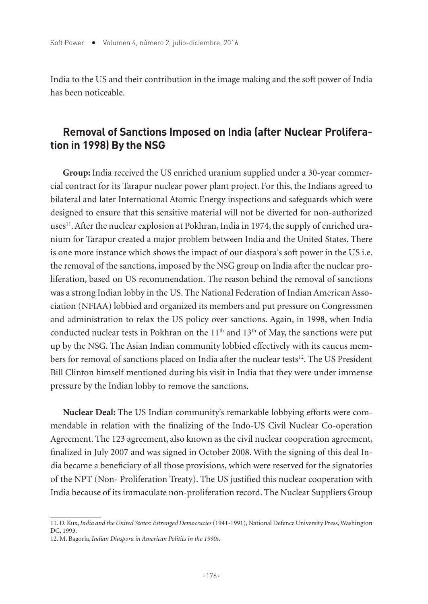India to the US and their contribution in the image making and the soft power of India has been noticeable.

## **Removal of Sanctions Imposed on India (after Nuclear Proliferation in 1998) By the NSG**

**Group:** India received the US enriched uranium supplied under a 30-year commercial contract for its Tarapur nuclear power plant project. For this, the Indians agreed to bilateral and later International Atomic Energy inspections and safeguards which were designed to ensure that this sensitive material will not be diverted for non-authorized uses<sup>11</sup>. After the nuclear explosion at Pokhran, India in 1974, the supply of enriched uranium for Tarapur created a major problem between India and the United States. There is one more instance which shows the impact of our diaspora's soft power in the US i.e. the removal of the sanctions, imposed by the NSG group on India after the nuclear proliferation, based on US recommendation. The reason behind the removal of sanctions was a strong Indian lobby in the US. The National Federation of Indian American Association (NFIAA) lobbied and organized its members and put pressure on Congressmen and administration to relax the US policy over sanctions. Again, in 1998, when India conducted nuclear tests in Pokhran on the  $11<sup>th</sup>$  and  $13<sup>th</sup>$  of May, the sanctions were put up by the NSG. The Asian Indian community lobbied effectively with its caucus members for removal of sanctions placed on India after the nuclear tests<sup>12</sup>. The US President Bill Clinton himself mentioned during his visit in India that they were under immense pressure by the Indian lobby to remove the sanctions.

**Nuclear Deal:** The US Indian community's remarkable lobbying efforts were commendable in relation with the finalizing of the Indo-US Civil Nuclear Co-operation Agreement. The 123 agreement, also known as the civil nuclear cooperation agreement, finalized in July 2007 and was signed in October 2008. With the signing of this deal India became a beneficiary of all those provisions, which were reserved for the signatories of the NPT (Non- Proliferation Treaty). The US justified this nuclear cooperation with India because of its immaculate non-proliferation record. The Nuclear Suppliers Group

<sup>11.</sup> D. Kux, *India and the United States: Estranged Democracies* (1941-1991), National Defence University Press, Washington DC, 1993.

<sup>12.</sup> M. Bagoria, *Indian Diaspora in American Politics in the 1990s*.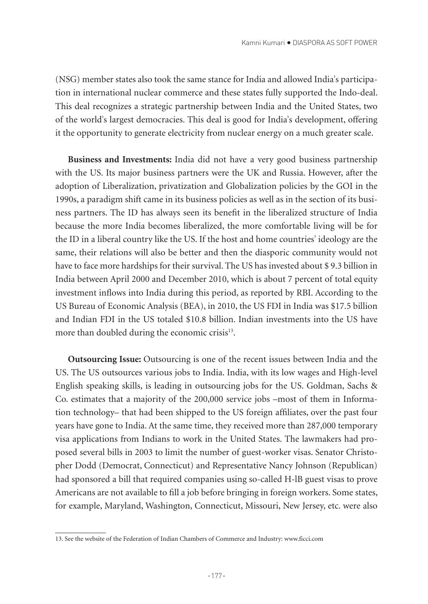(NSG) member states also took the same stance for India and allowed India's participation in international nuclear commerce and these states fully supported the Indo-deal. This deal recognizes a strategic partnership between India and the United States, two of the world's largest democracies. This deal is good for India's development, offering it the opportunity to generate electricity from nuclear energy on a much greater scale.

**Business and Investments:** India did not have a very good business partnership with the US. Its major business partners were the UK and Russia. However, after the adoption of Liberalization, privatization and Globalization policies by the GOI in the 1990s, a paradigm shift came in its business policies as well as in the section of its business partners. The ID has always seen its benefit in the liberalized structure of India because the more India becomes liberalized, the more comfortable living will be for the ID in a liberal country like the US. If the host and home countries' ideology are the same, their relations will also be better and then the diasporic community would not have to face more hardships for their survival. The US has invested about \$ 9.3 billion in India between April 2000 and December 2010, which is about 7 percent of total equity investment inflows into India during this period, as reported by RBI. According to the US Bureau of Economic Analysis (BEA), in 2010, the US FDI in India was \$17.5 billion and Indian FDI in the US totaled \$10.8 billion. Indian investments into the US have more than doubled during the economic crisis<sup>13</sup>.

**Outsourcing Issue:** Outsourcing is one of the recent issues between India and the US. The US outsources various jobs to India. India, with its low wages and High-level English speaking skills, is leading in outsourcing jobs for the US. Goldman, Sachs & Co. estimates that a majority of the 200,000 service jobs –most of them in Information technology– that had been shipped to the US foreign affiliates, over the past four years have gone to India. At the same time, they received more than 287,000 temporary visa applications from Indians to work in the United States. The lawmakers had proposed several bills in 2003 to limit the number of guest-worker visas. Senator Christopher Dodd (Democrat, Connecticut) and Representative Nancy Johnson (Republican) had sponsored a bill that required companies using so-called H-lB guest visas to prove Americans are not available to fill a job before bringing in foreign workers. Some states, for example, Maryland, Washington, Connecticut, Missouri, New Jersey, etc. were also

<sup>13.</sup> See the website of the Federation of Indian Chambers of Commerce and Industry: www.ficci.com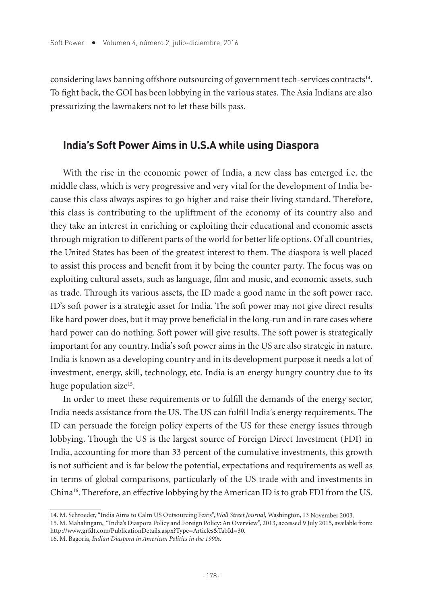considering laws banning offshore outsourcing of government tech-services contracts<sup>14</sup>. To fight back, the GOI has been lobbying in the various states. The Asia Indians are also pressurizing the lawmakers not to let these bills pass.

#### **India's Soft Power Aims in U.S.A while using Diaspora**

With the rise in the economic power of India, a new class has emerged i.e. the middle class, which is very progressive and very vital for the development of India because this class always aspires to go higher and raise their living standard. Therefore, this class is contributing to the upliftment of the economy of its country also and they take an interest in enriching or exploiting their educational and economic assets through migration to different parts of the world for better life options. Of all countries, the United States has been of the greatest interest to them. The diaspora is well placed to assist this process and benefit from it by being the counter party. The focus was on exploiting cultural assets, such as language, film and music, and economic assets, such as trade. Through its various assets, the ID made a good name in the soft power race. ID's soft power is a strategic asset for India. The soft power may not give direct results like hard power does, but it may prove beneficial in the long-run and in rare cases where hard power can do nothing. Soft power will give results. The soft power is strategically important for any country. India's soft power aims in the US are also strategic in nature. India is known as a developing country and in its development purpose it needs a lot of investment, energy, skill, technology, etc. India is an energy hungry country due to its huge population size<sup>15</sup>.

In order to meet these requirements or to fulfill the demands of the energy sector, India needs assistance from the US. The US can fulfill India's energy requirements. The ID can persuade the foreign policy experts of the US for these energy issues through lobbying. Though the US is the largest source of Foreign Direct Investment (FDI) in India, accounting for more than 33 percent of the cumulative investments, this growth is not sufficient and is far below the potential, expectations and requirements as well as in terms of global comparisons, particularly of the US trade with and investments in China16. Therefore, an effective lobbying by the American ID is to grab FDI from the US.

<sup>14.</sup> M. Schroeder, "India Aims to Calm US Outsourcing Fears", *Wall Street Journal,* Washington, 13 November 2003.

<sup>15.</sup> M. Mahalingam, "India's Diaspora Policy and Foreign Policy: An Overview", 2013, accessed 9 July 2015, available from: http://www.grfdt.com/PublicationDetails.aspx?Type=Articles&TabId=30.

<sup>16.</sup> M. Bagoria, *Indian Diaspora in American Politics in the 1990s*.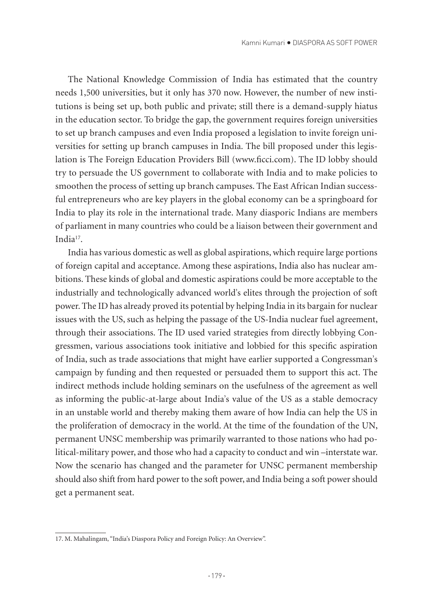The National Knowledge Commission of India has estimated that the country needs 1,500 universities, but it only has 370 now. However, the number of new institutions is being set up, both public and private; still there is a demand-supply hiatus in the education sector. To bridge the gap, the government requires foreign universities to set up branch campuses and even India proposed a legislation to invite foreign universities for setting up branch campuses in India. The bill proposed under this legislation is The Foreign Education Providers Bill (www.ficci.com). The ID lobby should try to persuade the US government to collaborate with India and to make policies to smoothen the process of setting up branch campuses. The East African Indian successful entrepreneurs who are key players in the global economy can be a springboard for India to play its role in the international trade. Many diasporic Indians are members of parliament in many countries who could be a liaison between their government and India17.

India has various domestic as well as global aspirations, which require large portions of foreign capital and acceptance. Among these aspirations, India also has nuclear ambitions. These kinds of global and domestic aspirations could be more acceptable to the industrially and technologically advanced world's elites through the projection of soft power. The ID has already proved its potential by helping India in its bargain for nuclear issues with the US, such as helping the passage of the US-India nuclear fuel agreement, through their associations. The ID used varied strategies from directly lobbying Congressmen, various associations took initiative and lobbied for this specific aspiration of India, such as trade associations that might have earlier supported a Congressman's campaign by funding and then requested or persuaded them to support this act. The indirect methods include holding seminars on the usefulness of the agreement as well as informing the public-at-large about India's value of the US as a stable democracy in an unstable world and thereby making them aware of how India can help the US in the proliferation of democracy in the world. At the time of the foundation of the UN, permanent UNSC membership was primarily warranted to those nations who had political-military power, and those who had a capacity to conduct and win –interstate war. Now the scenario has changed and the parameter for UNSC permanent membership should also shift from hard power to the soft power, and India being a soft power should get a permanent seat.

<sup>17.</sup> M. Mahalingam, "India's Diaspora Policy and Foreign Policy: An Overview".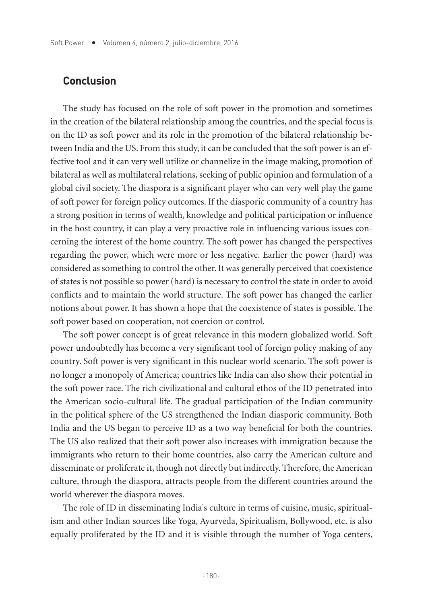#### **Conclusion**

The study has focused on the role of soft power in the promotion and sometimes in the creation of the bilateral relationship among the countries, and the special focus is on the ID as soft power and its role in the promotion of the bilateral relationship between India and the US. From this study, it can be concluded that the soft power is an effective tool and it can very well utilize or channelize in the image making, promotion of bilateral as well as multilateral relations, seeking of public opinion and formulation of a global civil society. The diaspora is a significant player who can very well play the game of soft power for foreign policy outcomes. If the diasporic community of a country has a strong position in terms of wealth, knowledge and political participation or influence in the host country, it can play a very proactive role in influencing various issues concerning the interest of the home country. The soft power has changed the perspectives regarding the power, which were more or less negative. Earlier the power (hard) was considered as something to control the other. It was generally perceived that coexistence of states is not possible so power (hard) is necessary to control the state in order to avoid conflicts and to maintain the world structure. The soft power has changed the earlier notions about power. It has shown a hope that the coexistence of states is possible. The soft power based on cooperation, not coercion or control.

The soft power concept is of great relevance in this modern globalized world. Soft power undoubtedly has become a very significant tool of foreign policy making of any country. Soft power is very significant in this nuclear world scenario. The soft power is no longer a monopoly of America; countries like India can also show their potential in the soft power race. The rich civilizational and cultural ethos of the ID penetrated into the American socio-cultural life. The gradual participation of the Indian community in the political sphere of the US strengthened the Indian diasporic community. Both India and the US began to perceive ID as a two way beneficial for both the countries. The US also realized that their soft power also increases with immigration because the immigrants who return to their home countries, also carry the American culture and disseminate or proliferate it, though not directly but indirectly. Therefore, the American culture, through the diaspora, attracts people from the different countries around the world wherever the diaspora moves.

The role of ID in disseminating India's culture in terms of cuisine, music, spiritualism and other Indian sources like Yoga, Ayurveda, Spiritualism, Bollywood, etc. is also equally proliferated by the ID and it is visible through the number of Yoga centers,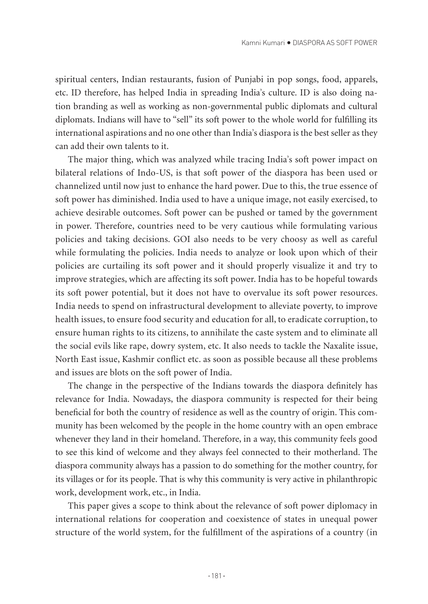spiritual centers, Indian restaurants, fusion of Punjabi in pop songs, food, apparels, etc. ID therefore, has helped India in spreading India's culture. ID is also doing nation branding as well as working as non-governmental public diplomats and cultural diplomats. Indians will have to "sell" its soft power to the whole world for fulfilling its international aspirations and no one other than India's diaspora is the best seller as they can add their own talents to it.

The major thing, which was analyzed while tracing India's soft power impact on bilateral relations of Indo-US, is that soft power of the diaspora has been used or channelized until now just to enhance the hard power. Due to this, the true essence of soft power has diminished. India used to have a unique image, not easily exercised, to achieve desirable outcomes. Soft power can be pushed or tamed by the government in power. Therefore, countries need to be very cautious while formulating various policies and taking decisions. GOI also needs to be very choosy as well as careful while formulating the policies. India needs to analyze or look upon which of their policies are curtailing its soft power and it should properly visualize it and try to improve strategies, which are affecting its soft power. India has to be hopeful towards its soft power potential, but it does not have to overvalue its soft power resources. India needs to spend on infrastructural development to alleviate poverty, to improve health issues, to ensure food security and education for all, to eradicate corruption, to ensure human rights to its citizens, to annihilate the caste system and to eliminate all the social evils like rape, dowry system, etc. It also needs to tackle the Naxalite issue, North East issue, Kashmir conflict etc. as soon as possible because all these problems and issues are blots on the soft power of India.

The change in the perspective of the Indians towards the diaspora definitely has relevance for India. Nowadays, the diaspora community is respected for their being beneficial for both the country of residence as well as the country of origin. This community has been welcomed by the people in the home country with an open embrace whenever they land in their homeland. Therefore, in a way, this community feels good to see this kind of welcome and they always feel connected to their motherland. The diaspora community always has a passion to do something for the mother country, for its villages or for its people. That is why this community is very active in philanthropic work, development work, etc., in India.

This paper gives a scope to think about the relevance of soft power diplomacy in international relations for cooperation and coexistence of states in unequal power structure of the world system, for the fulfillment of the aspirations of a country (in